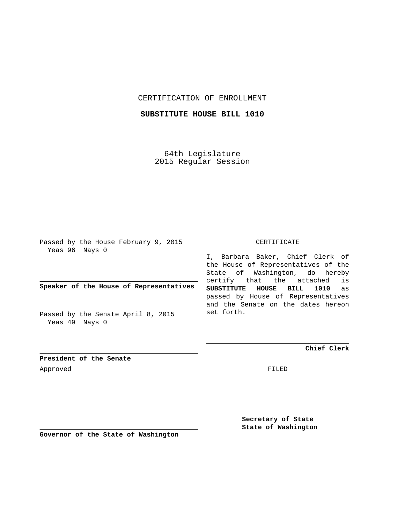## CERTIFICATION OF ENROLLMENT

# **SUBSTITUTE HOUSE BILL 1010**

64th Legislature 2015 Regular Session

Passed by the House February 9, 2015 Yeas 96 Nays 0

**Speaker of the House of Representatives**

Passed by the Senate April 8, 2015 Yeas 49 Nays 0

#### CERTIFICATE

I, Barbara Baker, Chief Clerk of the House of Representatives of the State of Washington, do hereby certify that the attached is **SUBSTITUTE HOUSE BILL 1010** as passed by House of Representatives and the Senate on the dates hereon set forth.

**Chief Clerk**

**President of the Senate** Approved FILED

**Secretary of State State of Washington**

**Governor of the State of Washington**